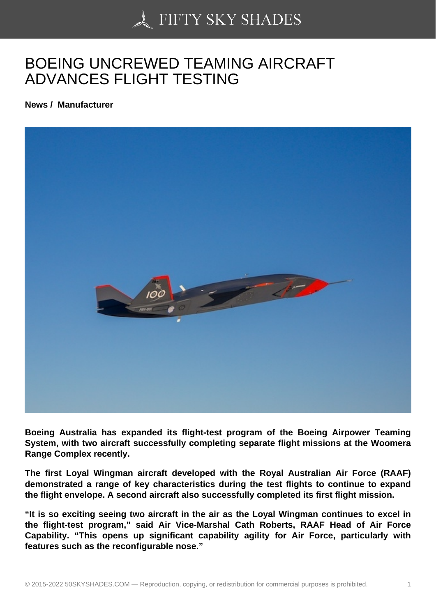## [BOEING UNCREWED](https://50skyshades.com) TEAMING AIRCRAFT ADVANCES FLIGHT TESTING

News / Manufacturer

Boeing Australia has expanded its flight-test program of the Boeing Airpower Teaming System, with two aircraft successfully completing separate flight missions at the Woomera Range Complex recently.

The first Loyal Wingman aircraft developed with the Royal Australian Air Force (RAAF) demonstrated a range of key characteristics during the test flights to continue to expand the flight envelope. A second aircraft also successfully completed its first flight mission.

"It is so exciting seeing two aircraft in the air as the Loyal Wingman continues to excel in the flight-test program," said Air Vice-Marshal Cath Roberts, RAAF Head of Air Force Capability. "This opens up significant capability agility for Air Force, particularly with features such as the reconfigurable nose."